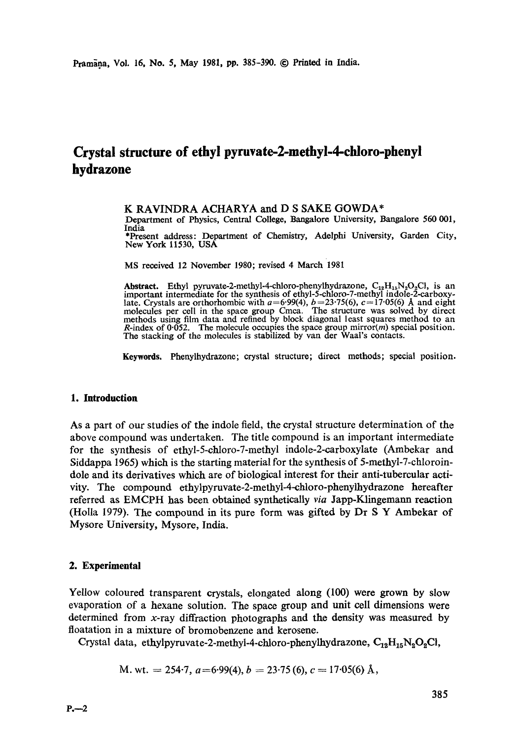# **Crystal structure of ethyl pyruvate-2-methyl-4-chloro-phenyl hydrazone**

# K RAVINDRA ACHARYA and D S SAKE GOWDA\*

Department of Physics, Central College, Bangalore University, Bangalore 560 001, India

\*Present address: Department of Chemistry, Adelphi University, Garden City, New York 11530, USA

MS received 12 November 1980; revised 4 March 1981

**Abstract.** Ethyl pyruvate-2-methyl-4-chloro-phenylhydrazone,  $C_{12}H_{15}N_2O_2Cl$ , is an important intermediate for the synthesis of ethyl-5-chloro-7-methyl indole-2-earboxylate. Crystals are orthorhombic with  $a=6.99(4)$ ,  $b=23.75(6)$ ,  $c=17.05(6)$  Å and eight molecules per cell in the space group Cmca. The structure was solved by direct methods using film data and refined by block diagonal least squares method to an R-index of 0.052. The molecule occupies the space group mirror( $m$ ) special position. The stacking of the molecules is stabilized by van der Waal's contacts.

Keywords. Phenylhydrazone; crystal structure; direct methods; special position.

## **1. Introduction**

As a part of our studies of the indole field, the crystal structure determination of the above compound was undertaken. The title compound is an important intermediate for the synthesis of ethyl-5-chloro-7-methyl indole-2-carboxylate (Ambekar and Siddappa 1965) which is the starting material for the synthesis of 5-methyl-7-chloroindole and its derivatives which are of biological interest for their anti-tubercular activity. The compound ethylpyruvate-2-methyl-4-ehloro-phenylhydrazone hereafter referred as EMCPH has been obtained synthetically *via* Japp-Klingemann reaction (Holla 1979). The compound in its pure form was gifted by Dr S Y Ambekar of Mysore University, Mysore, India.

## **2. Experimental**

Yellow coloured transparent crystals, elongated along (100) were grown by slow evaporation of a hexane solution. The space group and unit cell dimensions were determined from  $x$ -ray diffraction photographs and the density was measured by floatation in a mixture of bromobenzene and kerosene.

Crystal data, ethylpyruvate-2-methyl-4-chloro-phenylhydrazone,  $C_{12}H_{15}N_2O_2Cl$ ,

M. wt. = 254-7, 
$$
a=6.99(4)
$$
,  $b = 23.75(6)$ ,  $c = 17.05(6)$  Å,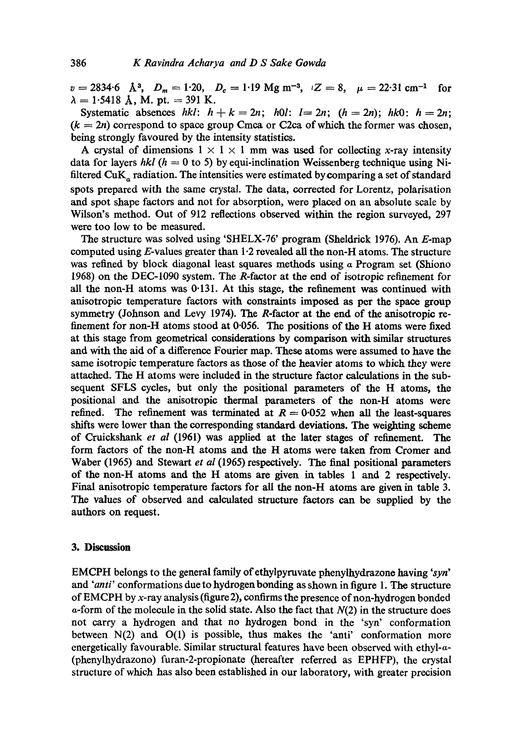$v = 2834.6$  A<sup>3</sup>,  $D_m = 1.20$ ,  $D_c = 1.19$  Mg m<sup>-3</sup>,  $Z = 8$ ,  $\mu = 22.31$  cm<sup>-1</sup> for  $\lambda = 1.5418$  Å, M. pt. = 391 K.

Systematic absences  $hkl: h+k=2n; h0l: l=2n; (h=2n); hk0: h=2n;$  $(k = 2n)$  correspond to space group Cmca or C2ca of which the former was chosen, being strongly favoured by the intensity statistics.

A crystal of dimensions  $1 \times 1 \times 1$  mm was used for collecting x-ray intensity data for layers *hkl* ( $h = 0$  to 5) by equi-inclination Weissenberg technique using Nifiltered  $\text{CuK}_\text{a}$  radiation. The intensities were estimated by comparing a set of standard spots prepared with the same crystal. The data, corrected for Lorentz, polarisation and spot shape factors and not for absorption, were placed on an absolute scale by Wilson's method. Out of 912 reflections observed within the region surveyed, 297 were too low to be measured.

The structure was solved using 'SHELX-76' program (Sheldrick 1976). An E-map computed using  $E$ -values greater than 1.2 revealed all the non-H atoms. The structure was refined by block diagonal least squares methods using  $\alpha$  Program set (Shiono 1968) on the DEC-1090 system. The R-factor at the end of isotropic refinement for all the non-H atoms was 0.131. At this stage, the refinement was continued with anisotropic temperature factors with constraints imposed as per the space group symmetry (Johnson and Levy 1974). The R-factor at the end of the anisotropic refinement for non-H atoms stood at 0.056. The positions of the H atoms were fixed at this stage from geometrical considerations by comparison with similar structures and with the aid of a difference Fourier map. These atoms were assumed to have **the**  same isotropic temperature factors as those of the heavier atoms to which they were attached. The H atoms were included in the structure factor calculations in the subsequent SFLS cycles, but only the positional parameters of the H atoms, the positional and the anisotropic thermal parameters of the non-H atoms were refined. The refinement was terminated at  $R = 0.052$  when all the least-squares shifts were lower than the corresponding standard deviations. The weighting scheme of Cruickshank *et al* (1961) was applied at the later stages of refinement. The form factors of the non-H atoms and the H atoms were taken from Cromer and Waber (1965) and Stewart *et al* (1965) respectively. The final positional parameters of the non-H atoms and the H atoms are given in tables 1 and 2 respectively. Final anisotropic temperature factors for all the non-H atoms are given in table 3. The values of observed and calculated structure factors can be supplied by the authors on request.

# **3. Discussion**

EMCPH belongs to the general family of ethylpyruvate phenylhydrazone having *'syn'*  and *"anti'* conformations due to hydrogen bonding as shown in figure 1. The structure of EMCPH by x-ray analysis (figure 2), confirms the presence of non-hydrogen bonded  $\alpha$ -form of the molecule in the solid state. Also the fact that  $N(2)$  in the structure does not carry a hydrogen and that no hydrogen bond in the 'syn' conformation between N(2) and O(1) is possible, thus makes the "anti' conformation more energetically favourable. Similar structural features have been observed with ethyl-a- (phenylhydrazono) furan-2-propionate (hereafter referred as EPHFP), the crystal structure of which has also been established in our laboratory, with greater precision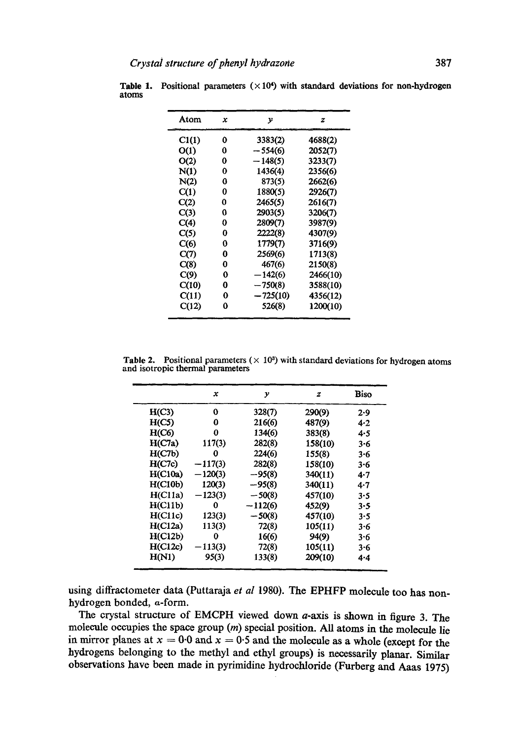| Atom  | x | у          | z        |
|-------|---|------------|----------|
| Cl(1) | 0 | 3383(2)    | 4688(2)  |
| O(1)  | 0 | $-554(6)$  | 2052(7)  |
| O(2)  | 0 | $-148(5)$  | 3233(7)  |
| N(1)  | 0 | 1436(4)    | 2356(6)  |
| N(2)  | 0 | 873(5)     | 2662(6)  |
| C(1)  | 0 | 1880(5)    | 2926(7)  |
| C(2)  | 0 | 2465(5)    | 2616(7)  |
| C(3)  | 0 | 2903(5)    | 3206(7)  |
| C(4)  | 0 | 2809(7)    | 3987(9)  |
| C(5)  | 0 | 2222(8)    | 4307(9)  |
| C(6)  | Ω | 1779(7)    | 3716(9)  |
| C(7)  | 0 | 2569(6)    | 1713(8)  |
| C(8)  | 0 | 467(6)     | 2150(8)  |
| C(9)  | 0 | $-142(6)$  | 2466(10) |
| C(10) | 0 | $-750(8)$  | 3588(10) |
| C(11) | 0 | $-725(10)$ | 4356(12) |
| C(12) | 0 | 526(8)     | 1200(10) |

Table 1. Positional parameters  $(\times 10^4)$  with standard deviations for non-hydrogen atoms

Table 2. Positional parameters  $(\times 10^3)$  with standard deviations for hydrogen atoms and isotropic thermal parameters

|                | x         | у         | z       | Biso    |
|----------------|-----------|-----------|---------|---------|
| H(C3)          | 0         | 328(7)    | 290(9)  | 2.9     |
| H(C5)          | 0         | 216(6)    | 487(9)  | 4.2     |
| H(C6)          | 0         | 134(6)    | 383(8)  | 4.5     |
| H(C7a)         | 117(3)    | 282(8)    | 158(10) | 3.6     |
| H(C7b)         | 0         | 224(6)    | 155(8)  | 3.6     |
| H(C7c)         | $-117(3)$ | 282(8)    | 158(10) | $3 - 6$ |
| H(C10a)        | $-120(3)$ | $-95(8)$  | 340(11) | 4.7     |
| <b>H(C10b)</b> | 120(3)    | $-95(8)$  | 340(11) | $4 - 7$ |
| H(C11a)        | $-123(3)$ | $-50(8)$  | 457(10) | 3.5     |
| H(C11b)        | 0         | $-112(6)$ | 452(9)  | 3.5     |
| H(C11c)        | 123(3)    | $-50(8)$  | 457(10) | $3 - 5$ |
| H(C12a)        | 113(3)    | 72(8)     | 105(11) | 3.6     |
| H(C12b)        | 0         | 16(6)     | 94(9)   | 3.6     |
| H(C12c)        | 113(3)    | 72(8)     | 105(11) | $3 - 6$ |
| H(N1)          | 95(3)     | 133(8)    | 209(10) | 4.4     |

using diffractometer data (Puttaraja *et al* 1980). The EPHFP molecule too has nonhydrogen bonded,  $a$ -form.

The crystal structure of EMCPH viewed down a-axis is shown in figure 3. The molecule occupies the space group (m) special position. All atoms in the molecule lie in mirror planes at  $x = 0.0$  and  $x = 0.5$  and the molecule as a whole (except for the hydrogens belonging to the methyl and ethyl groups) is necessarily planar. Similar observations have been made in pyrimidine hydrochloride (Furberg and Aaas 1975)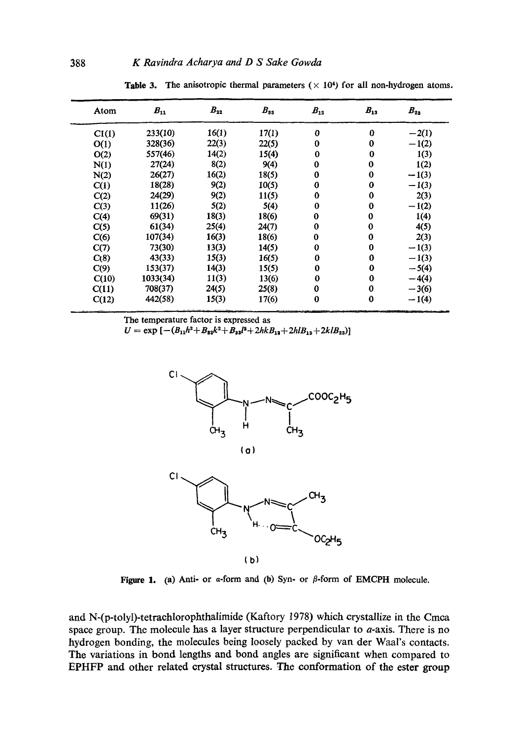| Atom  | $B_{11}$ | $B_{22}$ | $B_{33}$ | $B_{12}$ | $B_{13}$ | $B_{23}$ |
|-------|----------|----------|----------|----------|----------|----------|
| Cl(1) | 233(10)  | 16(1)    | 17(1)    | 0        | $\bf{0}$ | $-2(1)$  |
| O(1)  | 328(36)  | 22(3)    | 22(5)    | 0        | 0        | $-1(2)$  |
| O(2)  | 557(46)  | 14(2)    | 15(4)    | $\bf{0}$ | 0        | 1(3)     |
| N(1)  | 27(24)   | 8(2)     | 9(4)     | $\bf{0}$ | 0        | 1(2)     |
| N(2)  | 26(27)   | 16(2)    | 18(5)    | 0        | 0        | $-1(3)$  |
| C(1)  | 18(28)   | 9(2)     | 10(5)    | $\bf{0}$ | 0        | $-1(3)$  |
| C(2)  | 24(29)   | 9(2)     | 11(5)    | $\bf{0}$ | 0        | 2(3)     |
| C(3)  | 11(26)   | 5(2)     | 5(4)     | $\bf{0}$ | 0        | $-1(2)$  |
| C(4)  | 69(31)   | 18(3)    | 18(6)    | $\bf{0}$ | 0        | 1(4)     |
| C(5)  | 61(34)   | 25(4)    | 24(7)    | $\bf{0}$ | 0        | 4(5)     |
| C(6)  | 107(34)  | 16(3)    | 18(6)    | $\bf{0}$ | 0        | 2(3)     |
| C(7)  | 73(30)   | 13(3)    | 14(5)    | $\bf{0}$ | 0        | $-1(3)$  |
| C(8)  | 43(33)   | 15(3)    | 16(5)    | 0        | 0        | $-1(3)$  |
| C(9)  | 153(37)  | 14(3)    | 15(5)    | $\bf{0}$ | 0        | $-5(4)$  |
| C(10) | 1033(34) | 11(3)    | 13(6)    | $\bf{0}$ | 0        | $-4(4)$  |
| C(11) | 708(37)  | 24(5)    | 25(8)    | $\bf{0}$ | 0        | $-3(6)$  |
| C(12) | 442(58)  | 15(3)    | 17(6)    | $\bf{0}$ | 0        | $-1(4)$  |

Table 3. The anisotropic thermal parameters  $(\times 10^4)$  for all non-hydrogen atoms.

The temperature factor is expressed as

 $U = \exp \left[-(B_{11}h^2+B_{22}k^2+B_{33}l^2+2hkB_{13}+2hlB_{13}+2klB_{23})\right]$ 



(b)

Figure 1. (a) Anti- or  $\alpha$ -form and (b) Syn- or  $\beta$ -form of EMCPH molecule.

and N-(p-tolyl)-tetrachlorophthalimide (Kaftory 1978) which crystallize in the Cmca space group. The molecule has a layer structure perpendicular to a-axis. There is no hydrogen bonding, the molecules being loosely packed by van der Waal's contacts. The variations in bond lengths and bond angles are significant when compared to EPHFP and other related crystal structures. The conformation of the ester group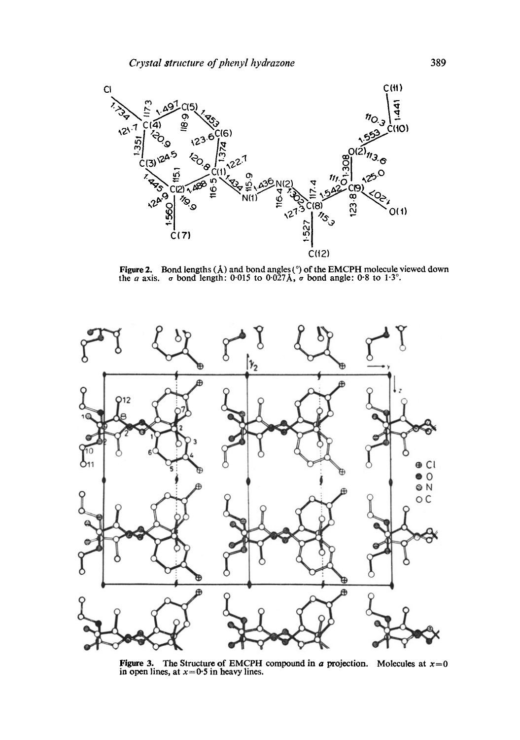

Figure 2. Bond lengths ( $\AA$ ) and bond angles (°) of the EMCPH molecule viewed down the *a* axis.  $\sigma$  bond length: 0.015 to 0.027 $\AA$ ,  $\sigma$  bond angle: 0.8 to 1.3°.



**Figure 3.** The Structure of EMCPH compound in a projection. Molecules at  $x=0$  in open lines, at  $x=0.5$  in heavy lines.